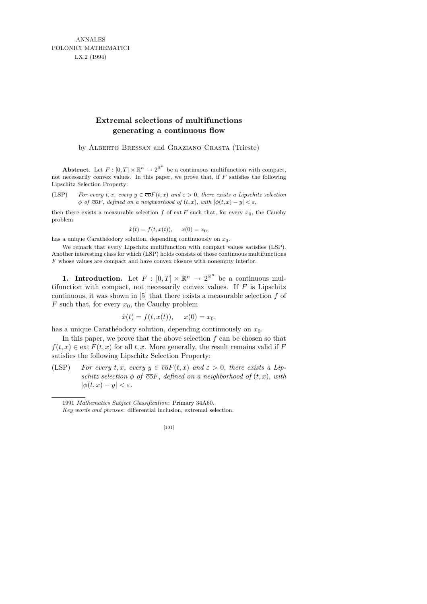ANNALES POLONICI MATHEMATICI LX.2 (1994)

## **Extremal selections of multifunctions generating a continuous flow**

by Alberto Bressan and Graziano Crasta (Trieste)

**Abstract.** Let  $F : [0, T] \times \mathbb{R}^n \to 2^{\mathbb{R}^n}$  be a continuous multifunction with compact, not necessarily convex values. In this paper, we prove that, if *F* satisfies the following Lipschitz Selection Property:

(LSP) *For every*  $t, x$ , *every*  $y \in \overline{co}F(t, x)$  *and*  $\varepsilon > 0$ , *there exists a Lipschitz selection*  $\phi$  *of*  $\overline{co}F$ , *defined on a neighborhood of*  $(t, x)$ , *with*  $|\phi(t, x) - y| < \varepsilon$ ,

then there exists a measurable selection  $f$  of ext  $F$  such that, for every  $x_0$ , the Cauchy problem

$$
\dot{x}(t) = f(t, x(t)), \quad x(0) = x_0,
$$

has a unique Carathéodory solution, depending continuously on  $x_0$ .

We remark that every Lipschitz multifunction with compact values satisfies (LSP). Another interesting class for which (LSP) holds consists of those continuous multifunctions *F* whose values are compact and have convex closure with nonempty interior.

**1.** Introduction. Let  $F : [0, T] \times \mathbb{R}^n \to 2^{\mathbb{R}^n}$  be a continuous multifunction with compact, not necessarily convex values. If  $F$  is Lipschitz continuous, it was shown in  $[5]$  that there exists a measurable selection f of  $F$  such that, for every  $x_0$ , the Cauchy problem

$$
\dot{x}(t) = f(t, x(t)), \quad x(0) = x_0,
$$

has a unique Carathéodory solution, depending continuously on  $x_0$ .

In this paper, we prove that the above selection  $f$  can be chosen so that  $f(t, x) \in \text{ext } F(t, x)$  for all t, x. More generally, the result remains valid if F satisfies the following Lipschitz Selection Property:

(LSP) For every t, x, every  $y \in \overline{co}F(t, x)$  and  $\varepsilon > 0$ , there exists a Lipschitz selection  $\phi$  of  $\overline{co}F$ , defined on a neighborhood of  $(t, x)$ , with  $|\phi(t, x) - y| < \varepsilon.$ 

<sup>1991</sup> *Mathematics Subject Classification*: Primary 34A60.

*Key words and phrases*: differential inclusion, extremal selection.

<sup>[101]</sup>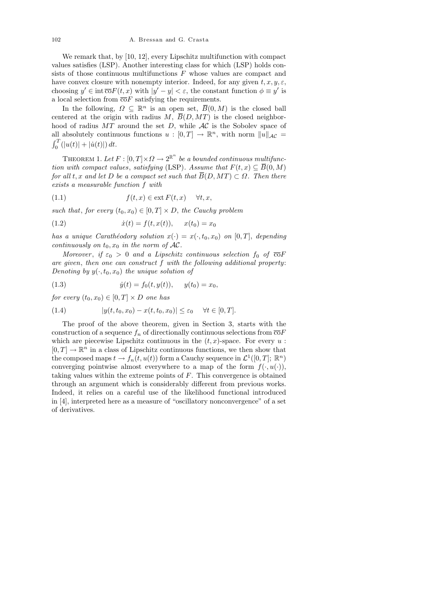We remark that, by [10, 12], every Lipschitz multifunction with compact values satisfies (LSP). Another interesting class for which (LSP) holds consists of those continuous multifunctions  $F$  whose values are compact and have convex closure with nonempty interior. Indeed, for any given  $t, x, y, \varepsilon$ , choosing  $y' \in \text{int } \overline{\text{co}} F(t, x)$  with  $|y' - y| < \varepsilon$ , the constant function  $\phi \equiv y'$  is a local selection from  $\overline{co}F$  satisfying the requirements.

In the following,  $\Omega \subseteq \mathbb{R}^n$  is an open set,  $\overline{B}(0, M)$  is the closed ball centered at the origin with radius  $M, \overline{B}(D, MT)$  is the closed neighborhood of radius  $MT$  around the set D, while  $AC$  is the Sobolev space of all absolutely continuous functions  $u : [0, T] \to \mathbb{R}^n$ , with norm  $||u||_{\mathcal{AC}} =$  $\int_0^T (|u(t)| + |\dot{u}(t)|) dt.$ 

THEOREM 1. Let  $F : [0,T] \times \Omega \to 2^{\mathbb{R}^n}$  be a bounded continuous multifunction with compact values, satisfying (LSP). Assume that  $F(t, x) \subseteq \overline{B}(0, M)$ for all t, x and let D be a compact set such that  $\overline{B}(D, MT) \subset \Omega$ . Then there exists a measurable function f with

(1.1) 
$$
f(t,x) \in \text{ext } F(t,x) \quad \forall t, x,
$$

such that, for every  $(t_0, x_0) \in [0, T] \times D$ , the Cauchy problem

(1.2) 
$$
\dot{x}(t) = f(t, x(t)), \quad x(t_0) = x_0
$$

has a unique Carathéodory solution  $x(\cdot) = x(\cdot, t_0, x_0)$  on [0, T], depending continuously on  $t_0, x_0$  in the norm of  $AC$ .

Moreover, if  $\varepsilon_0 > 0$  and a Lipschitz continuous selection  $f_0$  of  $\overline{co}F$ are given, then one can construct f with the following additional property: Denoting by  $y(\cdot, t_0, x_0)$  the unique solution of

(1.3) 
$$
\dot{y}(t) = f_0(t, y(t)), \quad y(t_0) = x_0,
$$

for every  $(t_0, x_0) \in [0, T] \times D$  one has

(1.4) 
$$
|y(t, t_0, x_0) - x(t, t_0, x_0)| \leq \varepsilon_0 \quad \forall t \in [0, T].
$$

The proof of the above theorem, given in Section 3, starts with the construction of a sequence  $f_n$  of directionally continuous selections from  $\overline{co}F$ which are piecewise Lipschitz continuous in the  $(t, x)$ -space. For every  $u$ :  $[0, T] \to \mathbb{R}^n$  in a class of Lipschitz continuous functions, we then show that the composed maps  $t \to f_n(t, u(t))$  form a Cauchy sequence in  $\mathcal{L}^1([0, T]; \mathbb{R}^n)$ converging pointwise almost everywhere to a map of the form  $f(\cdot, u(\cdot))$ , taking values within the extreme points of F. This convergence is obtained through an argument which is considerably different from previous works. Indeed, it relies on a careful use of the likelihood functional introduced in [4], interpreted here as a measure of "oscillatory nonconvergence" of a set of derivatives.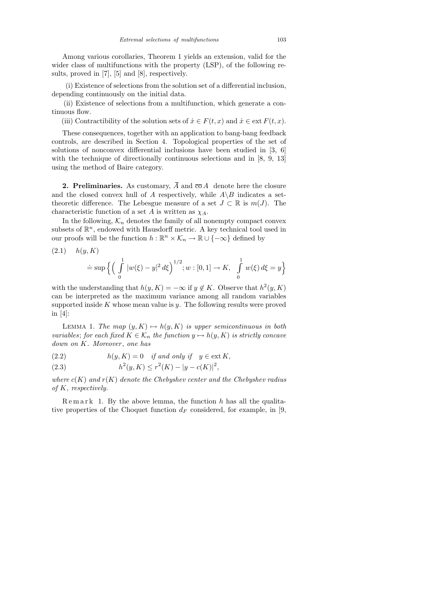Among various corollaries, Theorem 1 yields an extension, valid for the wider class of multifunctions with the property (LSP), of the following results, proved in [7], [5] and [8], respectively.

(i) Existence of selections from the solution set of a differential inclusion, depending continuously on the initial data.

(ii) Existence of selections from a multifunction, which generate a continuous flow.

(iii) Contractibility of the solution sets of  $\dot{x} \in F(t, x)$  and  $\dot{x} \in \text{ext } F(t, x)$ .

These consequences, together with an application to bang-bang feedback controls, are described in Section 4. Topological properties of the set of solutions of nonconvex differential inclusions have been studied in [3, 6] with the technique of directionally continuous selections and in [8, 9, 13] using the method of Baire category.

**2. Preliminaries.** As customary,  $\overline{A}$  and  $\overline{co} A$  denote here the closure and the closed convex hull of A respectively, while  $A\backslash B$  indicates a settheoretic difference. The Lebesgue measure of a set  $J \subset \mathbb{R}$  is  $m(J)$ . The characteristic function of a set A is written as  $\chi_A$ .

In the following,  $K_n$  denotes the family of all nonempty compact convex subsets of  $\mathbb{R}^n$ , endowed with Hausdorff metric. A key technical tool used in our proofs will be the function  $h : \mathbb{R}^n \times \mathcal{K}_n \to \mathbb{R} \cup \{-\infty\}$  defined by

(2.1) 
$$
h(y, K)
$$
  
\n
$$
\doteq \sup \left\{ \left( \int_{0}^{1} |w(\xi) - y|^2 d\xi \right)^{1/2}; w : [0, 1] \to K, \int_{0}^{1} w(\xi) d\xi = y \right\}
$$

with the understanding that  $h(y, K) = -\infty$  if  $y \notin K$ . Observe that  $h^2(y, K)$ can be interpreted as the maximum variance among all random variables supported inside  $K$  whose mean value is  $y$ . The following results were proved in [4]:

LEMMA 1. The map  $(y, K) \mapsto h(y, K)$  is upper semicontinuous in both variables; for each fixed  $K \in \mathcal{K}_n$  the function  $y \mapsto h(y, K)$  is strictly concave  $down on K. Moreover, one has$ 

(2.2) 
$$
h(y, K) = 0 \quad \text{if and only if} \quad y \in \text{ext } K,
$$

(2.3) 
$$
h^{2}(y,K) \leq r^{2}(K) - |y - c(K)|^{2},
$$

where  $c(K)$  and  $r(K)$  denote the Chebyshev center and the Chebyshev radius of K, respectively.

 $R$  e m a r k 1. By the above lemma, the function  $h$  has all the qualitative properties of the Choquet function  $d_F$  considered, for example, in [9,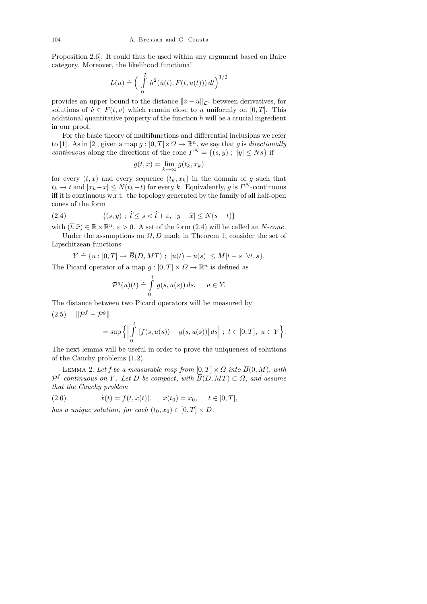Proposition 2.6]. It could thus be used within any argument based on Baire category. Moreover, the likelihood functional

$$
L(u) \doteq \left( \int\limits_0^T h^2(\dot{u}(t), F(t, u(t))) dt \right)^{1/2}
$$

provides an upper bound to the distance  $\|\dot{v} - \dot{u}\|_{\mathcal{L}^2}$  between derivatives, for solutions of  $\dot{v} \in F(t, v)$  which remain close to u uniformly on [0, T]. This additional quantitative property of the function  $h$  will be a crucial ingredient in our proof.

For the basic theory of multifunctions and differential inclusions we refer to [1]. As in [2], given a map  $g: [0, T] \times \Omega \to \mathbb{R}^n$ , we say that g is directionally *continuous* along the directions of the cone  $\Gamma^{N} = \{(s, y) ; |y| \leq Ns\}$  if

$$
g(t,x) = \lim_{k \to \infty} g(t_k, x_k)
$$

for every  $(t, x)$  and every sequence  $(t_k, x_k)$  in the domain of g such that  $t_k \to t$  and  $|x_k-x| \le N(t_k-t)$  for every k. Equivalently, g is  $\Gamma^N$ -continuous iff it is continuous w.r.t. the topology generated by the family of all half-open cones of the form

(2.4) 
$$
\{(s,y) \; ; \; \hat{t} \le s < \hat{t} + \varepsilon, \ |y - \hat{x}| \le N(s-t) \}
$$

with  $(\hat{t}, \hat{x}) \in \mathbb{R} \times \mathbb{R}^n$ ,  $\varepsilon > 0$ . A set of the form (2.4) will be called an N-cone.<br>Index the assumptions on O, D made in Theorem 1, consider the set of Under the assumptions on  $\Omega, D$  made in Theorem 1, consider the set of Lipschitzean functions

$$
Y = \{ u : [0, T] \to \overline{B}(D, MT) ; |u(t) - u(s)| \le M|t - s| \,\forall t, s \}.
$$

The Picard operator of a map  $g: [0, T] \times \Omega \to \mathbb{R}^n$  is defined as

$$
\mathcal{P}^g(u)(t) \doteq \int_0^t g(s, u(s)) ds, \quad u \in Y.
$$

The distance between two Picard operators will be measured by  $(2.5)$   $\|\mathcal{P}^f - \mathcal{P}^g\|$ 

$$
= \sup \Big\{ \Big| \int_{0}^{t} \left[ f(s, u(s)) - g(s, u(s)) \right] ds \Big| \; ; \; t \in [0, T], \; u \in Y \Big\}.
$$

The next lemma will be useful in order to prove the uniqueness of solutions of the Cauchy problems (1.2).

LEMMA 2. Let f be a measurable map from  $[0, T] \times \Omega$  into  $\overline{B}(0, M)$ , with  $\mathcal{P}^f$  continuous on Y. Let D be compact, with  $\overline{B}(D, MT) \subset \Omega$ , and assume that the Cauchy problem

(2.6) 
$$
\dot{x}(t) = f(t, x(t)), \quad x(t_0) = x_0, \quad t \in [0, T],
$$

has a unique solution, for each  $(t_0, x_0) \in [0, T] \times D$ .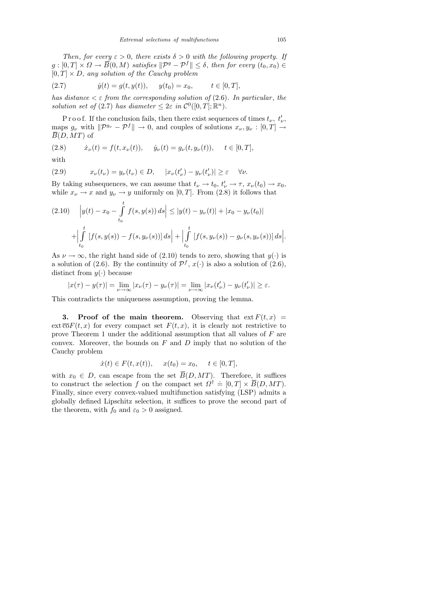Then, for every  $\varepsilon > 0$ , there exists  $\delta > 0$  with the following property. If  $g: [0,T] \times \Omega \to \overline{B}(0,M)$  satisfies  $\|\mathcal{P}^g - \mathcal{P}^f\| \leq \delta$ , then for every  $(t_0,x_0) \in$  $[0, T] \times D$ , any solution of the Cauchy problem

(2.7) 
$$
\dot{y}(t) = g(t, y(t)), \quad y(t_0) = x_0, \quad t \in [0, T],
$$

has distance  $\lt \varepsilon$  from the corresponding solution of (2.6). In particular, the solution set of (2.7) has diameter  $\leq 2\varepsilon$  in  $\mathcal{C}^0([0,T];\mathbb{R}^n)$ .

P r o o f. If the conclusion fails, then there exist sequences of times  $t_{\nu}$ ,  $t'_{\nu}$ , maps  $g_{\nu}$  with  $\|\mathcal{P}^{g_{\nu}} - \mathcal{P}^{f}\| \to 0$ , and couples of solutions  $x_{\nu}, y_{\nu} : [0, T] \to$  $\overline{B}(D, MT)$  of

(2.8) 
$$
\dot{x}_{\nu}(t) = f(t, x_{\nu}(t)), \quad \dot{y}_{\nu}(t) = g_{\nu}(t, y_{\nu}(t)), \quad t \in [0, T],
$$

with

(2.9) 
$$
x_{\nu}(t_{\nu}) = y_{\nu}(t_{\nu}) \in D, \quad |x_{\nu}(t_{\nu}') - y_{\nu}(t_{\nu}')| \geq \varepsilon \quad \forall \nu.
$$

By taking subsequences, we can assume that  $t_{\nu} \to t_0$ ,  $t'_{\nu} \to \tau$ ,  $x_{\nu}(t_0) \to x_0$ , while  $x_{\nu} \to x$  and  $y_{\nu} \to y$  uniformly on [0, T]. From (2.8) it follows that

$$
(2.10) \quad |y(t) - x_0 - \int_{t_0}^t f(s, y(s)) ds| \le |y(t) - y_{\nu}(t)| + |x_0 - y_{\nu}(t_0)|
$$

$$
+ \Big| \int_{t_0}^t [f(s, y(s)) - f(s, y_{\nu}(s))] ds \Big| + \Big| \int_{t_0}^t [f(s, y_{\nu}(s)) - g_{\nu}(s, y_{\nu}(s))] ds \Big|.
$$

As  $\nu \rightarrow \infty$ , the right hand side of (2.10) tends to zero, showing that  $y(\cdot)$  is a solution of (2.6). By the continuity of  $\mathcal{P}^f$ ,  $x(\cdot)$  is also a solution of (2.6), distinct from  $y(\cdot)$  because

$$
|x(\tau) - y(\tau)| = \lim_{\nu \to \infty} |x_{\nu}(\tau) - y_{\nu}(\tau)| = \lim_{\nu \to \infty} |x_{\nu}(t_{\nu}') - y_{\nu}(t_{\nu}')| \ge \varepsilon.
$$

This contradicts the uniqueness assumption, proving the lemma.

3. Proof of the main theorem. Observing that  $ext{F}(t, x) =$  $ext{\overline{co}}F(t,x)$  for every compact set  $F(t,x)$ , it is clearly not restrictive to prove Theorem 1 under the additional assumption that all values of F are convex. Moreover, the bounds on  $F$  and  $D$  imply that no solution of the Cauchy problem

$$
\dot{x}(t) \in F(t, x(t)), \quad x(t_0) = x_0, \quad t \in [0, T],
$$

with  $x_0 \in D$ , can escape from the set  $\overline{B}(D, MT)$ . Therefore, it suffices to construct the selection f on the compact set  $\Omega^{\dagger} = [0, T] \times \overline{B}(D, MT)$ . Finally, since every convex-valued multifunction satisfying (LSP) admits a globally defined Lipschitz selection, it suffices to prove the second part of the theorem, with  $f_0$  and  $\varepsilon_0 > 0$  assigned.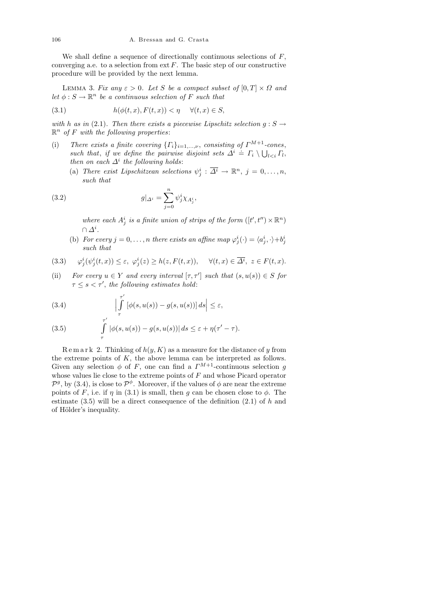We shall define a sequence of directionally continuous selections of  $F$ , converging a.e. to a selection from  $ext{F}$ . The basic step of our constructive procedure will be provided by the next lemma.

LEMMA 3. Fix any  $\varepsilon > 0$ . Let S be a compact subset of  $[0, T] \times \Omega$  and let  $\phi : S \to \mathbb{R}^n$  be a continuous selection of F such that

(3.1) 
$$
h(\phi(t,x), F(t,x)) < \eta \quad \forall (t,x) \in S,
$$

with h as in (2.1). Then there exists a piecewise Lipschitz selection  $g : S \to$  $\mathbb{R}^n$  of F with the following properties:

- (i) There exists a finite covering  $\{\Gamma_i\}_{i=1,\dots,\nu}$ , consisting of  $\Gamma^{M+1}$ -cones, such that, if we define the pairwise disjoint sets  $\Delta^i = \Gamma_i \setminus \bigcup_{l < i} \Gamma_l$ , then on each  $\Delta^i$  the following holds:
	- (a) There exist Lipschitzean selections  $\psi_j^i : \overline{\Delta^i} \to \mathbb{R}^n$ ,  $j = 0, \ldots, n$ , such that

(3.2) 
$$
g|_{\Delta^i} = \sum_{j=0}^n \psi_j^i \chi_{A_j^i},
$$

where each  $A_j^i$  is a finite union of strips of the form  $([t', t'') \times \mathbb{R}^n)$  $\cap$   $\varDelta^i.$ 

(b) For every  $j = 0, \ldots, n$  there exists an affine map  $\varphi_j^i(\cdot) = \langle a_j^i, \cdot \rangle + b_j^i$ such that

(3.3) 
$$
\varphi_j^i(\psi_j^i(t,x)) \leq \varepsilon, \ \varphi_j^i(z) \geq h(z, F(t,x)), \quad \forall (t,x) \in \overline{\Delta^i}, \ z \in F(t,x).
$$

(ii) For every  $u \in Y$  and every interval  $[\tau, \tau']$  such that  $(s, u(s)) \in S$  for  $\tau \leq s < \tau'$ , the following estimates hold:

(3.4) 
$$
\left|\int_{\tau}^{\tau'}\left[\phi(s,u(s))-g(s,u(s))\right]ds\right| \leq \varepsilon,
$$

(3.5) 
$$
\int_{\tau}^{\tau'} |\phi(s, u(s)) - g(s, u(s))| ds \leq \varepsilon + \eta(\tau' - \tau).
$$

 $R$  e m a r k 2. Thinking of  $h(y, K)$  as a measure for the distance of y from the extreme points of  $K$ , the above lemma can be interpreted as follows. Given any selection  $\phi$  of F, one can find a  $\Gamma^{M+1}$ -continuous selection g whose values lie close to the extreme points of  $F$  and whose Picard operator  $\mathcal{P}^g$ , by (3.4), is close to  $\mathcal{P}^{\phi}$ . Moreover, if the values of  $\phi$  are near the extreme points of F, i.e. if  $\eta$  in (3.1) is small, then g can be chosen close to  $\phi$ . The estimate  $(3.5)$  will be a direct consequence of the definition  $(2.1)$  of h and of Hölder's inequality.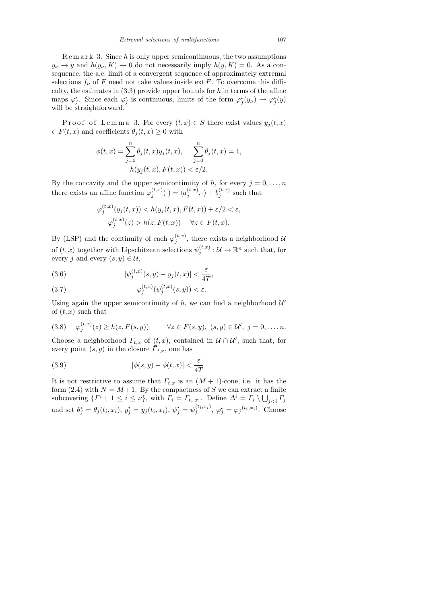$R$  e m a r k 3. Since h is only upper semicontinuous, the two assumptions  $y_{\nu} \to y$  and  $h(y_{\nu}, K) \to 0$  do not necessarily imply  $h(y, K) = 0$ . As a consequence, the a.e. limit of a convergent sequence of approximately extremal selections  $f_{\nu}$  of F need not take values inside ext F. To overcome this difficulty, the estimates in  $(3.3)$  provide upper bounds for h in terms of the affine maps  $\varphi_j^i$ . Since each  $\varphi_j^i$  is continuous, limits of the form  $\varphi_j^i(y_\nu) \to \varphi_j^i(y)$ will be straightforward.

P roof of Lemma 3. For every  $(t, x) \in S$  there exist values  $y_j(t, x)$  $\in F(t, x)$  and coefficients  $\theta_i(t, x) \geq 0$  with

$$
\phi(t,x) = \sum_{j=0}^{n} \theta_j(t,x) y_j(t,x), \quad \sum_{j=0}^{n} \theta_j(t,x) = 1, h(y_j(t,x), F(t,x)) < \varepsilon/2.
$$

By the concavity and the upper semicontinuity of h, for every  $j = 0, \ldots, n$ there exists an affine function  $\varphi_i^{(t,x)}$  $j^{(t,x)}(\cdot)=\langle a_j^{(t,x)}\rangle$  $\langle{}_{j}^{(t,x)},.\rangle+ b_{j}^{(t,x)}$  $j^{(i,x)}$  such that

$$
\varphi_j^{(t,x)}(y_j(t,x)) < h(y_j(t,x), F(t,x)) + \varepsilon/2 < \varepsilon,
$$
\n
$$
\varphi_j^{(t,x)}(z) > h(z, F(t,x)) \quad \forall z \in F(t,x).
$$

By (LSP) and the continuity of each  $\varphi_i^{(t,x)}$  $j^{(t,x)}$ , there exists a neighborhood  $\mathcal{U}$ of  $(t, x)$  together with Lipschitzean selections  $\psi_i^{(t,x)}$  $j^{(t,x)}_{j}:\mathcal{U}\to\mathbb{R}^{n}$  such that, for every j and every  $(s, y) \in \mathcal{U}$ ,

(3.6) 
$$
|\psi_j^{(t,x)}(s,y) - y_j(t,x)| < \frac{\varepsilon}{4T},
$$

(3.7) 
$$
\varphi_j^{(t,x)}(\psi_j^{(t,x)}(s,y)) < \varepsilon.
$$

Using again the upper semicontinuity of  $h$ , we can find a neighborhood  $\mathcal{U}'$ of  $(t, x)$  such that

$$
(3.8) \quad \varphi_j^{(t,x)}(z) \ge h(z, F(s,y)) \qquad \forall z \in F(s,y), \ (s,y) \in \mathcal{U}', \ j=0,\ldots,n.
$$

Choose a neighborhood  $\Gamma_{t,x}$  of  $(t,x)$ , contained in  $\mathcal{U} \cap \mathcal{U}'$ , such that, for every point  $(s, y)$  in the closure  $\overline{\Gamma}_{t,x}$ , one has

(3.9) 
$$
|\phi(s,y) - \phi(t,x)| < \frac{\varepsilon}{4T}.
$$

It is not restrictive to assume that  $\Gamma_{t,x}$  is an  $(M+1)$ -cone, i.e. it has the form (2.4) with  $N = M + 1$ . By the compactness of S we can extract a finite subcovering  $\{F^i : 1 \le i \le \nu\}$ , with  $\Gamma_i = \Gamma_{t_i, x_i}$ . Define  $\Delta^i = \Gamma_i \setminus \bigcup_{j < i} \Gamma_j$ and set  $\theta_j^i = \theta_j(t_i, x_i), y_j^i = y_j(t_i, x_i), \psi_j^i = \psi_j^{(t_i, x_i)}$  $j_j^{(t_i,x_i)}, \varphi_j^i = \varphi_j^{(t_i,x_i)}$ . Choose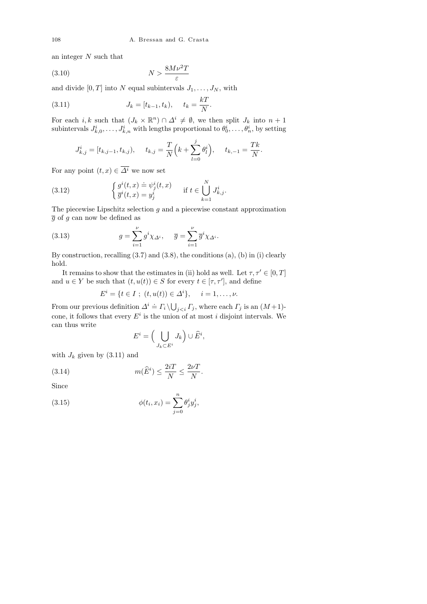an integer N such that

$$
(3.10)\t\t\t N > \frac{8M\nu^2T}{\varepsilon}
$$

and divide  $[0, T]$  into N equal subintervals  $J_1, \ldots, J_N$ , with

(3.11) 
$$
J_k = [t_{k-1}, t_k), \quad t_k = \frac{kT}{N}.
$$

For each *i*, k such that  $(J_k \times \mathbb{R}^n) \cap \Delta^i \neq \emptyset$ , we then split  $J_k$  into  $n+1$ subintervals  $J_{k,0}^i, \ldots, J_{k,n}^i$  with lengths proportional to  $\theta_0^i, \ldots, \theta_n^i$ , by setting

$$
J_{k,j}^i = [t_{k,j-1}, t_{k,j}),
$$
  $t_{k,j} = \frac{T}{N} \left( k + \sum_{l=0}^j \theta_l^i \right),$   $t_{k,-1} = \frac{Tk}{N}.$ 

For any point  $(t, x) \in \overline{\Delta^i}$  we now set

(3.12) 
$$
\begin{cases} g^{i}(t,x) \doteq \psi_{j}^{i}(t,x) \\ \overline{g}^{i}(t,x) = y_{j}^{i} \end{cases} \text{ if } t \in \bigcup_{k=1}^{N} J_{k,j}^{i}.
$$

The piecewise Lipschitz selection  $g$  and a piecewise constant approximation  $\overline{q}$  of g can now be defined as

(3.13) 
$$
g = \sum_{i=1}^{\nu} g^i \chi_{\Delta^i}, \quad \overline{g} = \sum_{i=1}^{\nu} \overline{g}^i \chi_{\Delta^i}.
$$

By construction, recalling  $(3.7)$  and  $(3.8)$ , the conditions  $(a)$ ,  $(b)$  in  $(i)$  clearly hold.

It remains to show that the estimates in (ii) hold as well. Let  $\tau, \tau' \in [0, T]$ and  $u \in Y$  be such that  $(t, u(t)) \in S$  for every  $t \in [\tau, \tau']$ , and define

$$
E^{i} = \{t \in I \; ; \; (t, u(t)) \in \Delta^{i}\}, \quad i = 1, \ldots, \nu.
$$

From our previous definition  $\Delta^i \doteq \Gamma_i \setminus \bigcup_{j < i} \Gamma_j$ , where each  $\Gamma_j$  is an  $(M+1)$ cone, it follows that every  $E^i$  is the union of at most i disjoint intervals. We can thus write

$$
E^i = \Big(\bigcup_{J_k \subset E^i} J_k\Big) \cup \widehat{E}^i,
$$

with  $J_k$  given by  $(3.11)$  and

(3.14) 
$$
m(\widehat{E}^i) \le \frac{2iT}{N} \le \frac{2\nu T}{N}.
$$

Since

(3.15) 
$$
\phi(t_i, x_i) = \sum_{j=0}^n \theta_j^i y_j^i,
$$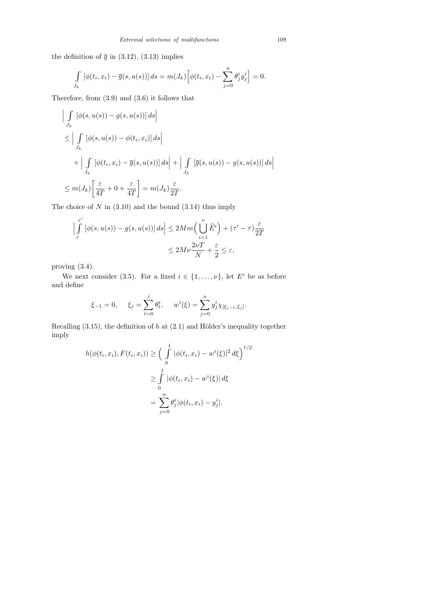the definition of  $\bar{g}$  in (3.12), (3.13) implies

$$
\int_{J_k} \left[ \phi(t_i, x_i) - \overline{g}(s, u(s)) \right] ds = m(J_k) \left[ \phi(t_i, x_i) - \sum_{j=0}^n \theta_j^i y_j^i \right] = 0.
$$

Therefore, from (3.9) and (3.6) it follows that

$$
\left| \int_{J_k} \left[ \phi(s, u(s)) - g(s, u(s)) \right] ds \right|
$$
  
\n
$$
\leq \left| \int_{J_k} \left[ \phi(s, u(s)) - \phi(t_i, x_i) \right] ds \right|
$$
  
\n
$$
+ \left| \int_{J_k} \left[ \phi(t_i, x_i) - \overline{g}(s, u(s)) \right] ds \right| + \left| \int_{J_k} \left[ \overline{g}(s, u(s)) - g(s, u(s)) \right] ds \right|
$$
  
\n
$$
\leq m(J_k) \left[ \frac{\varepsilon}{4T} + 0 + \frac{\varepsilon}{4T} \right] = m(J_k) \frac{\varepsilon}{2T}.
$$

The choice of  $N$  in  $(3.10)$  and the bound  $(3.14)$  thus imply

$$
\left| \int_{\tau}^{\tau'} \left[ \phi(s, u(s)) - g(s, u(s)) \right] ds \right| \le 2Mm \left( \bigcup_{i=1}^{\nu} \widehat{E}^i \right) + (\tau' - \tau) \frac{\varepsilon}{2T}
$$

$$
\le 2M\nu \frac{2\nu T}{N} + \frac{\varepsilon}{2} \le \varepsilon,
$$

proving (3.4).

We next consider (3.5). For a fixed  $i \in \{1, \ldots, \nu\}$ , let  $E^i$  be as before and define

$$
\xi_{-1} = 0
$$
,  $\xi_j = \sum_{l=0}^j \theta_l^i$ ,  $w^i(\xi) = \sum_{j=0}^n y_j^i \chi_{[\xi_{j-1}, \xi_j]}$ .

Recalling  $(3.15)$ , the definition of h at  $(2.1)$  and Hölder's inequality together imply

$$
h(\phi(t_i, x_i), F(t_i, x_i)) \geq \left(\int_{0}^{1} |\phi(t_i, x_i) - w^i(\xi)|^2 d\xi\right)^{1/2}
$$
  

$$
\geq \int_{0}^{1} |\phi(t_i, x_i) - w^i(\xi)| d\xi
$$
  

$$
= \sum_{j=0}^{n} \theta_j^i |\phi(t_i, x_i) - y_j^i|.
$$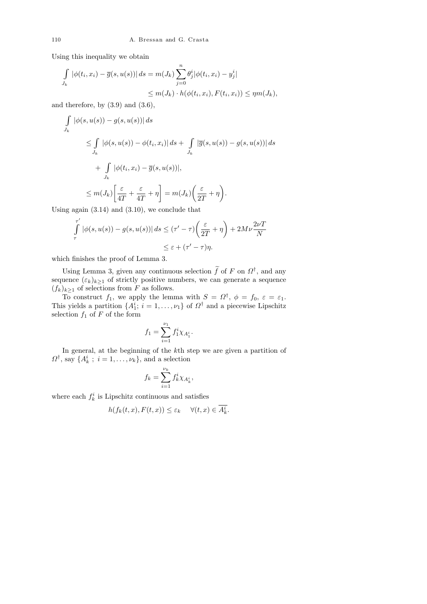Using this inequality we obtain

$$
\int_{J_k} |\phi(t_i, x_i) - \overline{g}(s, u(s))| ds = m(J_k) \sum_{j=0}^n \theta_j^i |\phi(t_i, x_i) - y_j^i|
$$
  

$$
\leq m(J_k) \cdot h(\phi(t_i, x_i), F(t_i, x_i)) \leq \eta m(J_k),
$$

and therefore, by  $(3.9)$  and  $(3.6)$ ,

$$
\int_{J_k} |\phi(s, u(s)) - g(s, u(s))| ds
$$
\n
$$
\leq \int_{J_k} |\phi(s, u(s)) - \phi(t_i, x_i)| ds + \int_{J_k} |\overline{g}(s, u(s)) - g(s, u(s))| ds
$$
\n
$$
+ \int_{J_k} |\phi(t_i, x_i) - \overline{g}(s, u(s))|,
$$
\n
$$
\leq m(J_k) \left[ \frac{\varepsilon}{4T} + \frac{\varepsilon}{4T} + \eta \right] = m(J_k) \left( \frac{\varepsilon}{2T} + \eta \right).
$$

Using again (3.14) and (3.10), we conclude that

$$
\int_{\tau}^{\tau'} |\phi(s, u(s)) - g(s, u(s))| ds \le (\tau' - \tau) \left(\frac{\varepsilon}{2T} + \eta\right) + 2M\nu \frac{2\nu T}{N}
$$
  

$$
\le \varepsilon + (\tau' - \tau)\eta.
$$

which finishes the proof of Lemma 3.

Using Lemma 3, given any continuous selection  $\tilde{f}$  of F on  $\Omega^{\dagger}$ , and any sequence  $(\varepsilon_k)_{k\geq 1}$  of strictly positive numbers, we can generate a sequence  $(f_k)_{k\geq 1}$  of selections from F as follows.

To construct  $f_1$ , we apply the lemma with  $S = \Omega^{\dagger}$ ,  $\phi = f_0$ ,  $\varepsilon = \varepsilon_1$ . This yields a partition  $\{A_1^i; i = 1, \ldots, \nu_1\}$  of  $\Omega^{\dagger}$  and a piecewise Lipschitz selection  $f_1$  of  $F$  of the form

$$
f_1 = \sum_{i=1}^{\nu_1} f_1^i \chi_{A_1^i}.
$$

In general, at the beginning of the kth step we are given a partition of  $\Omega^{\dagger}$ , say  $\{A_k^i; i = 1, \ldots, \nu_k\}$ , and a selection

$$
f_k = \sum_{i=1}^{\nu_k} f_k^i \chi_{A_k^i},
$$

where each  $f_k^i$  is Lipschitz continuous and satisfies

$$
h(f_k(t, x), F(t, x)) \le \varepsilon_k \quad \forall (t, x) \in \overline{A_k^i}
$$

.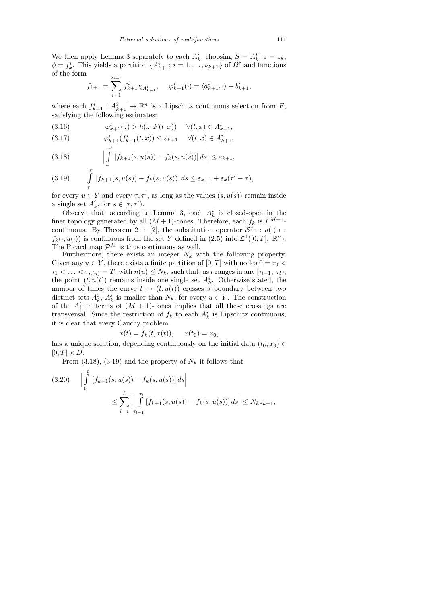We then apply Lemma 3 separately to each  $A_k^i$ , choosing  $S = A_k^i$ ,  $\varepsilon = \varepsilon_k$ ,  $\phi = f_k^i$ . This yields a partition  $\{A_{k+1}^i; i = 1, \ldots, \nu_{k+1}\}$  of  $\Omega^{\dagger}$  and functions of the form

$$
f_{k+1} = \sum_{i=1}^{\nu_{k+1}} f_{k+1}^i \chi_{A_{k+1}^i}, \quad \varphi_{k+1}^i(\cdot) = \langle a_{k+1}^i, \cdot \rangle + b_{k+1}^i,
$$

where each  $f_{k+1}^i : \overline{A_{k+1}^i} \to \mathbb{R}^n$  is a Lipschitz continuous selection from  $F$ , satisfying the following estimates:

(3.16) 
$$
\varphi_{k+1}^i(z) > h(z, F(t, x)) \quad \forall (t, x) \in A_{k+1}^i,
$$

(3.17) 
$$
\varphi_{k+1}^i(f_{k+1}^i(t,x)) \leq \varepsilon_{k+1} \quad \forall (t,x) \in A_{k+1}^i,
$$

(3.18) 
$$
\left|\int_{\tau}^{\tau'} \left[f_{k+1}(s, u(s)) - f_k(s, u(s))\right] ds\right| \leq \varepsilon_{k+1},
$$

$$
(3.19) \qquad \int\limits_{\tau}^{\tau'} |f_{k+1}(s, u(s)) - f_k(s, u(s))| \, ds \leq \varepsilon_{k+1} + \varepsilon_k(\tau' - \tau),
$$

for every  $u \in Y$  and every  $\tau, \tau'$ , as long as the values  $(s, u(s))$  remain inside a single set  $A_k^i$ , for  $s \in [\tau, \tau']$ .

Observe that, according to Lemma 3, each  $A_k^i$  is closed-open in the finer topology generated by all  $(M + 1)$ -cones. Therefore, each  $f_k$  is  $\Gamma^{M+1}$ continuous. By Theorem 2 in [2], the substitution operator  $S^{f_k}: u(\cdot) \mapsto$  $f_k(\cdot, u(\cdot))$  is continuous from the set Y defined in  $(2.5)$  into  $\mathcal{L}^1([0,T]; \mathbb{R}^n)$ . The Picard map  $\mathcal{P}^{f_k}$  is thus continuous as well.

Furthermore, there exists an integer  $N_k$  with the following property. Given any  $u \in Y$ , there exists a finite partition of  $[0, T]$  with nodes  $0 = \tau_0 <$  $\tau_1 < \ldots < \tau_{n(u)} = T$ , with  $n(u) \leq N_k$ , such that, as t ranges in any  $[\tau_{l-1}, \tau_l)$ , the point  $(t, u(t))$  remains inside one single set  $A_k^i$ . Otherwise stated, the number of times the curve  $t \mapsto (t, u(t))$  crosses a boundary between two distinct sets  $A_k^i$ ,  $A_k^j$  $\mathcal{U}_k$  is smaller than  $N_k$ , for every  $u \in Y$ . The construction of the  $A_k^i$  in terms of  $(M + 1)$ -cones implies that all these crossings are transversal. Since the restriction of  $f_k$  to each  $A_k^i$  is Lipschitz continuous, it is clear that every Cauchy problem

$$
\dot{x}(t) = f_k(t, x(t)), \quad x(t_0) = x_0,
$$

has a unique solution, depending continuously on the initial data  $(t_0, x_0) \in$  $[0, T] \times D$ .

From  $(3.18)$ ,  $(3.19)$  and the property of  $N_k$  it follows that

$$
(3.20) \quad \left| \int_{0}^{t} \left[ f_{k+1}(s, u(s)) - f_{k}(s, u(s)) \right] ds \right|
$$
  

$$
\leq \sum_{l=1}^{L} \left| \int_{\tau_{l-1}}^{\tau_{l}} \left[ f_{k+1}(s, u(s)) - f_{k}(s, u(s)) \right] ds \right| \leq N_{k} \varepsilon_{k+1},
$$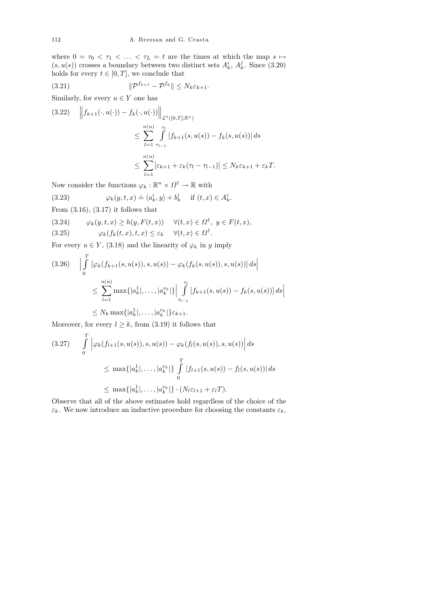where  $0 = \tau_0 < \tau_1 < \ldots < \tau_L = t$  are the times at which the map  $s \mapsto$  $(s,u(s))$  crosses a boundary between two distinct sets  $A_k^i,\,A_k^j$  $\frac{3}{k}$ . Since (3.20) holds for every  $t \in [0, T]$ , we conclude that

$$
(3.21) \t\t\t \t\t\t \t\t \t\t \t\t \t\t \t\t \t\t \mathbb{P}^{f_{k+1}} - \mathcal{P}^{f_k} \t\t \t\t \t \leq N_k \varepsilon_{k+1}.
$$

Similarly, for every  $u \in Y$  one has

$$
(3.22) \quad \left\| f_{k+1}(\cdot, u(\cdot)) - f_k(\cdot, u(\cdot)) \right\|_{\mathcal{L}^1([0,T];\mathbb{R}^n)} \le \sum_{l=1}^{n(u)} \int_{\tau_{l-1}}^{\tau_l} |f_{k+1}(s, u(s)) - f_k(s, u(s))| ds
$$
  

$$
\le \sum_{l=1}^{n(u)} [\varepsilon_{k+1} + \varepsilon_k(\tau_l - \tau_{l-1})] \le N_k \varepsilon_{k+1} + \varepsilon_k T.
$$

Now consider the functions  $\varphi_k : \mathbb{R}^n \times \Omega^{\dagger} \to \mathbb{R}$  with

(3.23) 
$$
\varphi_k(y,t,x) \doteq \langle a_k^i, y \rangle + b_k^i \quad \text{if } (t,x) \in A_k^i.
$$

From 
$$
(3.16)
$$
,  $(3.17)$  it follows that

(3.24) 
$$
\varphi_k(y, t, x) \ge h(y, F(t, x)) \quad \forall (t, x) \in \Omega^{\dagger}, y \in F(t, x),
$$
  
(3.25) 
$$
\varphi_k(f_k(t, x), t, x) \le \varepsilon_k \quad \forall (t, x) \in \Omega^{\dagger}.
$$

For every  $u \in Y$ , (3.18) and the linearity of  $\varphi_k$  in y imply

$$
(3.26) \quad \left| \int_{0}^{T} \left[ \varphi_{k}(f_{k+1}(s, u(s)), s, u(s)) - \varphi_{k}(f_{k}(s, u(s)), s, u(s)) \right] ds \right|
$$
  

$$
\leq \sum_{l=1}^{n(u)} \max\{|a_{k}^{1}|, \dots, |a_{k}^{\nu_{k}}| \} \left| \int_{\tau_{l-1}}^{\tau_{l}} [f_{k+1}(s, u(s)) - f_{k}(s, u(s))] ds \right|
$$
  

$$
\leq N_{k} \max\{|a_{k}^{1}|, \dots, |a_{k}^{\nu_{k}}| \} \varepsilon_{k+1}.
$$

Moreover, for every  $l \geq k$ , from (3.19) it follows that

$$
(3.27) \qquad \int_{0}^{T} \left| \varphi_{k}(f_{l+1}(s, u(s)), s, u(s)) - \varphi_{k}(f_{l}(s, u(s)), s, u(s)) \right| ds
$$
  

$$
\leq \max\{|a_{k}^{1}|, \ldots, |a_{k}^{\nu_{k}}|\} \int_{0}^{T} |f_{l+1}(s, u(s)) - f_{l}(s, u(s))| ds
$$
  

$$
\leq \max\{|a_{k}^{1}|, \ldots, |a_{k}^{\nu_{k}}|\} \cdot (N_{l} \varepsilon_{l+1} + \varepsilon_{l} T).
$$

Observe that all of the above estimates hold regardless of the choice of the  $\varepsilon_k$ . We now introduce an inductive procedure for choosing the constants  $\varepsilon_k$ ,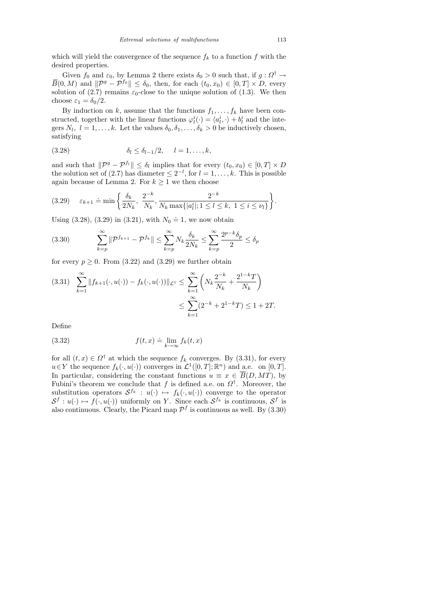which will yield the convergence of the sequence  $f_k$  to a function f with the desired properties.

Given  $f_0$  and  $\varepsilon_0$ , by Lemma 2 there exists  $\delta_0 > 0$  such that, if  $g: \Omega^{\dagger} \to$  $\overline{B}(0, M)$  and  $\|\mathcal{P}^g - \mathcal{P}^{f_0}\| \leq \delta_0$ , then, for each  $(t_0, x_0) \in [0, T] \times D$ , every solution of (2.7) remains  $\varepsilon_0$ -close to the unique solution of (1.3). We then choose  $\varepsilon_1 = \delta_0/2$ .

By induction on k, assume that the functions  $f_1, \ldots, f_k$  have been constructed, together with the linear functions  $\varphi_l^i(\cdot) = \langle a_l^i, \cdot \rangle + b_l^i$  and the integers  $N_l$ ,  $l = 1, ..., k$ . Let the values  $\delta_0, \delta_1, ..., \delta_k > 0$  be inductively chosen, satisfying

(3.28) 
$$
\delta_l \leq \delta_{l-1}/2, \quad l = 1, ..., k,
$$

and such that  $\|\mathcal{P}^g - \mathcal{P}^{f_l}\| \leq \delta_l$  implies that for every  $(t_0, x_0) \in [0, T] \times D$ the solution set of (2.7) has diameter  $\leq 2^{-l}$ , for  $l = 1, \ldots, k$ . This is possible again because of Lemma 2. For  $k \geq 1$  we then choose

$$
(3.29) \quad \varepsilon_{k+1} \doteq \min \left\{ \frac{\delta_k}{2N_k}, \ \frac{2^{-k}}{N_k}, \frac{2^{-k}}{N_k \max\{|a_l^i|; 1 \le l \le k, \ 1 \le i \le \nu_l\}} \right\}.
$$

Using (3.28), (3.29) in (3.21), with  $N_0 \doteq 1$ , we now obtain

$$
(3.30) \qquad \sum_{k=p}^{\infty} \|\mathcal{P}^{f_{k+1}} - \mathcal{P}^{f_k}\| \le \sum_{k=p}^{\infty} N_k \frac{\delta_k}{2N_k} \le \sum_{k=p}^{\infty} \frac{2^{p-k}\delta_p}{2} \le \delta_p
$$

for every  $p \geq 0$ . From (3.22) and (3.29) we further obtain

$$
(3.31) \sum_{k=1}^{\infty} \|f_{k+1}(\cdot, u(\cdot)) - f_k(\cdot, u(\cdot))\|_{\mathcal{L}^1} \le \sum_{k=1}^{\infty} \left( N_k \frac{2^{-k}}{N_k} + \frac{2^{1-k}T}{N_k} \right)
$$
  

$$
\le \sum_{k=1}^{\infty} (2^{-k} + 2^{1-k}T) \le 1 + 2T.
$$

Define

(3.32) 
$$
f(t,x) \doteq \lim_{k \to \infty} f_k(t,x)
$$

for all  $(t, x) \in \Omega^{\dagger}$  at which the sequence  $f_k$  converges. By (3.31), for every  $u \in Y$  the sequence  $f_k(·, u(·))$  converges in  $\mathcal{L}^1([0,T]; \mathbb{R}^n)$  and a.e. on  $[0, T]$ . In particular, considering the constant functions  $u \equiv x \in \overline{B}(D, MT)$ , by Fubini's theorem we conclude that f is defined a.e. on  $\Omega^{\dagger}$ . Moreover, the substitution operators  $S^{f_k} : u(\cdot) \mapsto f_k(\cdot, u(\cdot))$  converge to the operator  $\mathcal{S}^f: u(\cdot) \mapsto f(\cdot, u(\cdot))$  uniformly on Y. Since each  $\mathcal{S}^{f_k}$  is continuous,  $\mathcal{S}^f$  is also continuous. Clearly, the Picard map  $\mathcal{P}^f$  is continuous as well. By (3.30)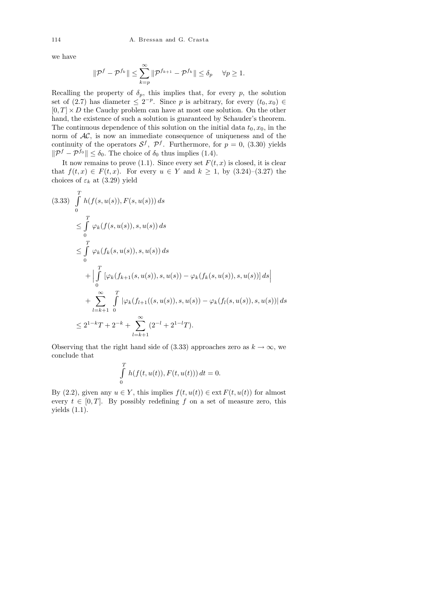we have

$$
\|\mathcal{P}^f - \mathcal{P}^{f_k}\| \le \sum_{k=p}^{\infty} \|\mathcal{P}^{f_{k+1}} - \mathcal{P}^{f_k}\| \le \delta_p \quad \forall p \ge 1.
$$

Recalling the property of  $\delta_p$ , this implies that, for every p, the solution set of (2.7) has diameter  $\leq 2^{-p}$ . Since p is arbitrary, for every  $(t_0, x_0) \in$  $[0, T] \times D$  the Cauchy problem can have at most one solution. On the other hand, the existence of such a solution is guaranteed by Schauder's theorem. The continuous dependence of this solution on the initial data  $t_0, x_0$ , in the norm of  $AC$ , is now an immediate consequence of uniqueness and of the continuity of the operators  $S^f$ ,  $\mathcal{P}^f$ . Furthermore, for  $p = 0$ , (3.30) yields  $\|\mathcal{P}^f - \mathcal{P}^{f_0}\| \leq \delta_0$ . The choice of  $\delta_0$  thus implies (1.4).

It now remains to prove (1.1). Since every set  $F(t, x)$  is closed, it is clear that  $f(t, x) \in F(t, x)$ . For every  $u \in Y$  and  $k \geq 1$ , by  $(3.24)$ – $(3.27)$  the choices of  $\varepsilon_k$  at (3.29) yield

$$
(3.33) \int_{0}^{T} h(f(s, u(s)), F(s, u(s))) ds
$$
  
\n
$$
\leq \int_{0}^{T} \varphi_{k}(f(s, u(s)), s, u(s)) ds
$$
  
\n
$$
\leq \int_{0}^{T} \varphi_{k}(f_{k}(s, u(s)), s, u(s)) ds
$$
  
\n
$$
+ \left| \int_{0}^{T} [\varphi_{k}(f_{k+1}(s, u(s)), s, u(s)) - \varphi_{k}(f_{k}(s, u(s)), s, u(s))] ds \right|
$$
  
\n
$$
+ \sum_{l=k+1}^{\infty} \int_{0}^{T} |\varphi_{k}(f_{l+1}((s, u(s)), s, u(s)) - \varphi_{k}(f_{l}(s, u(s)), s, u(s))| ds
$$
  
\n
$$
\leq 2^{1-k}T + 2^{-k} + \sum_{l=k+1}^{\infty} (2^{-l} + 2^{1-l}T).
$$

Observing that the right hand side of (3.33) approaches zero as  $k \to \infty$ , we conclude that

$$
\int_{0}^{T} h(f(t, u(t)), F(t, u(t))) dt = 0.
$$

By (2.2), given any  $u \in Y$ , this implies  $f(t, u(t)) \in \text{ext } F(t, u(t))$  for almost every  $t \in [0, T]$ . By possibly redefining f on a set of measure zero, this yields (1.1).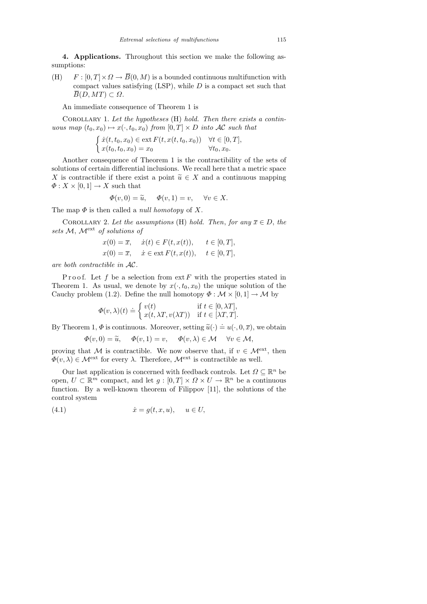4. Applications. Throughout this section we make the following assumptions:

(H)  $F : [0, T] \times \Omega \to \overline{B}(0, M)$  is a bounded continuous multifunction with compact values satisfying  $(LSP)$ , while D is a compact set such that  $\overline{B}(D, MT) \subset \Omega$ .

An immediate consequence of Theorem 1 is

COROLLARY 1. Let the hypotheses  $(H)$  hold. Then there exists a continuous map  $(t_0, x_0) \mapsto x(\cdot, t_0, x_0)$  from  $[0, T] \times D$  into AC such that

$$
\begin{cases} \dot{x}(t, t_0, x_0) \in \text{ext}\, F(t, x(t, t_0, x_0)) & \forall t \in [0, T], \\ x(t_0, t_0, x_0) = x_0 & \forall t_0, x_0. \end{cases}
$$

Another consequence of Theorem 1 is the contractibility of the sets of solutions of certain differential inclusions. We recall here that a metric space X is contractible if there exist a point  $\tilde{u} \in X$  and a continuous mapping  $\Phi: X \times [0,1] \to X$  such that

$$
\Phi(v,0) = \widetilde{u}, \quad \Phi(v,1) = v, \quad \forall v \in X.
$$

The map  $\Phi$  is then called a *null homotopy* of X.

COROLLARY 2. Let the assumptions (H) hold. Then, for any  $\overline{x} \in D$ , the sets  $M$ ,  $\mathcal{M}^{\text{ext}}$  of solutions of

$$
x(0) = \overline{x}, \quad \dot{x}(t) \in F(t, x(t)), \quad t \in [0, T],
$$
  

$$
x(0) = \overline{x}, \quad \dot{x} \in \text{ext } F(t, x(t)), \quad t \in [0, T],
$$

are both contractible in AC.

Proof. Let f be a selection from  $ext{ } F$  with the properties stated in Theorem 1. As usual, we denote by  $x(\cdot, t_0, x_0)$  the unique solution of the Cauchy problem (1.2). Define the null homotopy  $\Phi : \mathcal{M} \times [0,1] \to \mathcal{M}$  by

$$
\Phi(v,\lambda)(t) \doteq \begin{cases} v(t) & \text{if } t \in [0,\lambda T], \\ x(t,\lambda T, v(\lambda T)) & \text{if } t \in [\lambda T, T]. \end{cases}
$$

By Theorem 1,  $\Phi$  is continuous. Moreover, setting  $\widetilde{u}(\cdot) \doteq u(\cdot, 0, \overline{x})$ , we obtain

$$
\Phi(v,0) = \widetilde{u}, \quad \Phi(v,1) = v, \quad \Phi(v,\lambda) \in \mathcal{M} \quad \forall v \in \mathcal{M},
$$

proving that M is contractible. We now observe that, if  $v \in \mathcal{M}^{\text{ext}}$ , then  $\Phi(v, \lambda) \in \mathcal{M}^{\text{ext}}$  for every  $\lambda$ . Therefore,  $\mathcal{M}^{\text{ext}}$  is contractible as well.

Our last application is concerned with feedback controls. Let  $\Omega \subseteq \mathbb{R}^n$  be open,  $U \subset \mathbb{R}^m$  compact, and let  $g : [0, T] \times \Omega \times U \to \mathbb{R}^n$  be a continuous function. By a well-known theorem of Filippov [11], the solutions of the control system

(4.1) ˙x = g(t, x, u), u ∈ U,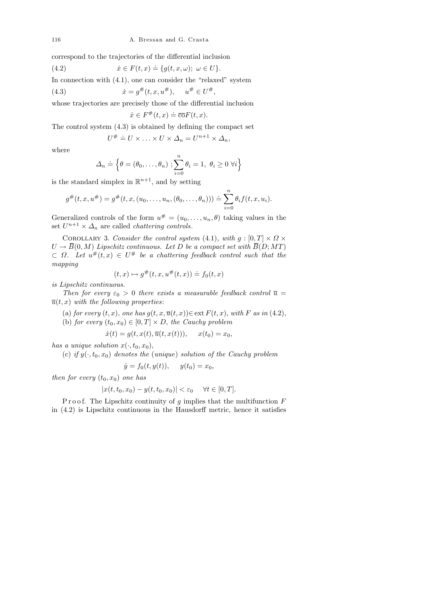correspond to the trajectories of the differential inclusion

(4.2) 
$$
\dot{x} \in F(t, x) \doteq \{g(t, x, \omega); \ \omega \in U\}.
$$

In connection with (4.1), one can consider the "relaxed" system

(4.3) 
$$
\dot{x} = g^{\#}(t, x, u^{\#}), \quad u^{\#} \in U^{\#},
$$

whose trajectories are precisely those of the differential inclusion

$$
\dot{x} \in F^{\#}(t, x) \doteq \overline{\text{co}}F(t, x).
$$

The control system (4.3) is obtained by defining the compact set

$$
U^{\#} \doteq U \times \ldots \times U \times \Delta_n = U^{n+1} \times \Delta_n,
$$

where

$$
\Delta_n \doteq \left\{ \theta = (\theta_0, \dots, \theta_n) ; \sum_{i=0}^n \theta_i = 1, \ \theta_i \ge 0 \ \forall i \right\}
$$

is the standard simplex in  $\mathbb{R}^{n+1}$ , and by setting

$$
g^{\#}(t, x, u^{\#}) = g^{\#}(t, x, (u_0, \ldots, u_n, (\theta_0, \ldots, \theta_n))) \doteq \sum_{i=0}^n \theta_i f(t, x, u_i).
$$

Generalized controls of the form  $u^{\#} = (u_0, \ldots, u_n, \theta)$  taking values in the set  $U^{n+1} \times \Delta_n$  are called *chattering controls*.

COROLLARY 3. Consider the control system (4.1), with  $g : [0, T] \times \Omega \times$  $U \to \overline{B}(0, M)$  Lipschitz continuous. Let D be a compact set with  $\overline{B}(D; MT)$  $\subset \Omega$ . Let  $u^{\#}(t,x) \in U^{\#}$  be a chattering feedback control such that the mapping

$$
(t,x)\mapsto g^{\#}(t,x,u^{\#}(t,x))\doteq f_0(t,x)
$$

is Lipschitz continuous.

Then for every  $\varepsilon_0 > 0$  there exists a measurable feedback control  $\overline{u} =$  $\overline{u}(t, x)$  with the following properties:

- (a) for every  $(t, x)$ , one has  $g(t, x, \overline{u}(t, x)) \in \text{ext } F(t, x)$ , with F as in (4.2),
- (b) for every  $(t_0, x_0) \in [0, T] \times D$ , the Cauchy problem

$$
\dot{x}(t) = g(t, x(t), \overline{u}(t, x(t))), \quad x(t_0) = x_0,
$$

has a unique solution  $x(\cdot, t_0, x_0)$ ,

(c) if  $y(\cdot, t_0, x_0)$  denotes the (unique) solution of the Cauchy problem

$$
\dot{y} = f_0(t, y(t)), \quad y(t_0) = x_0,
$$

then for every  $(t_0, x_0)$  one has

$$
|x(t, t_0, x_0) - y(t, t_0, x_0)| < \varepsilon_0 \quad \forall t \in [0, T].
$$

P r o o f. The Lipschitz continuity of  $g$  implies that the multifunction  $F$ in (4.2) is Lipschitz continuous in the Hausdorff metric, hence it satisfies